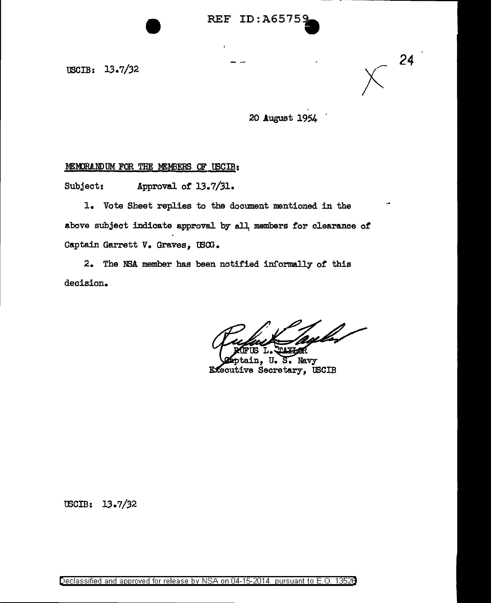USCIB: 13.7/32

*24* 

20 August 1954

## MEMORANDUM FOR THE MEMBERS OF USCIB:

Subject: Approval of 13.7/31.

1. Vote Sheet replies to the document mentioned in the above subject indicate approval by all members for clearance of Captain Garrett v. Graves, tB01.

2. The NSA member has been notified informally *ot* this decision.

S. Navy п. Executive Secretary, USCIB

USCIB: 13.7/32